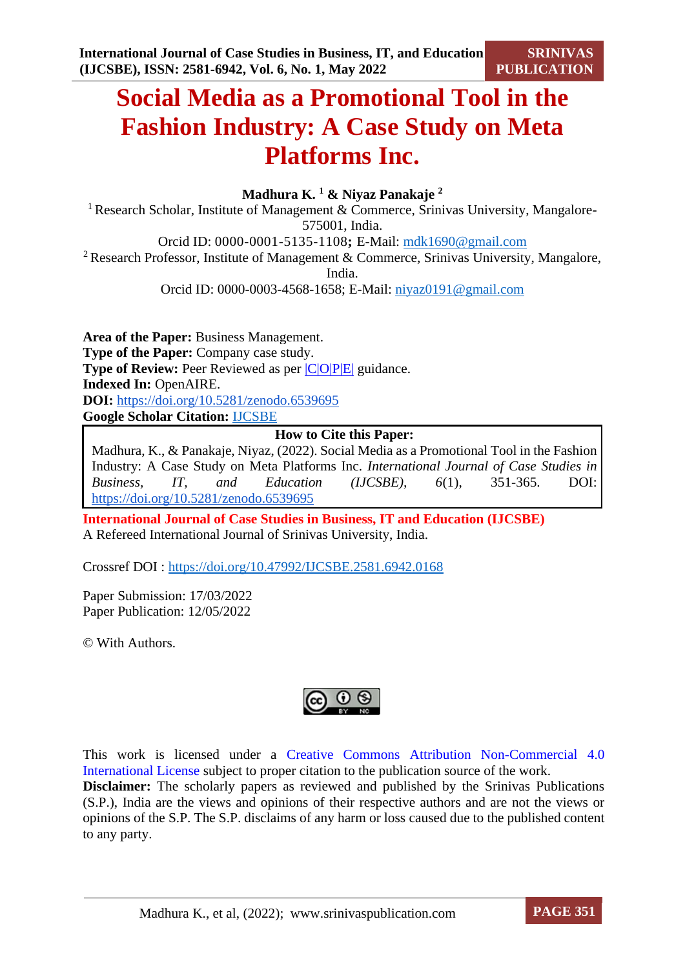**SRINIVAS PUBLICATION**

# **Social Media as a Promotional Tool in the Fashion Industry: A Case Study on Meta Platforms Inc.**

# **Madhura K. <sup>1</sup> & Niyaz Panakaje <sup>2</sup>**

<sup>1</sup> Research Scholar, Institute of Management & Commerce, Srinivas University, Mangalore-575001, India.

Orcid ID: 0000-0001-5135-1108**;** E-Mail: [mdk1690@gmail.com](mailto:mdk1690@gmail.com)

<sup>2</sup> Research Professor, Institute of Management & Commerce, Srinivas University, Mangalore,

India.

Orcid ID: 0000-0003-4568-1658; E-Mail: [niyaz0191@gmail.com](mailto:niyaz0191@gmail.com)

**Area of the Paper:** Business Management. **Type of the Paper:** Company case study. **Type of Review:** Peer Reviewed as per  $|C|O||P|E|$  guidance. **Indexed In:** OpenAIRE. **DOI:** <https://doi.org/10.5281/zenodo.6539695> **Google Scholar Citation:** [IJCSBE](https://scholar.google.com/citations?user=yGYPA1MAAAAJ)

# **How to Cite this Paper:**

Madhura, K., & Panakaje, Niyaz, (2022). Social Media as a Promotional Tool in the Fashion Industry: A Case Study on Meta Platforms Inc. *International Journal of Case Studies in Business, IT, and Education (IJCSBE), 6*(1), 351-365. DOI: <https://doi.org/10.5281/zenodo.6539695>

**International Journal of Case Studies in Business, IT and Education (IJCSBE)** A Refereed International Journal of Srinivas University, India.

Crossref DOI : [https://doi.org/10.47992/IJCSBE.2581.6942.0168](https://search.crossref.org/?q=10.47992%2FIJCSBE.2581.6942.0168&from_ui=yes)

Paper Submission: 17/03/2022 Paper Publication: 12/05/2022

© With Authors.



This work is licensed under a Creative Commons Attribution Non-Commercial 4.0 International License subject to proper citation to the publication source of the work. **Disclaimer:** The scholarly papers as reviewed and published by the Srinivas Publications (S.P.), India are the views and opinions of their respective authors and are not the views or opinions of the S.P. The S.P. disclaims of any harm or loss caused due to the published content to any party.

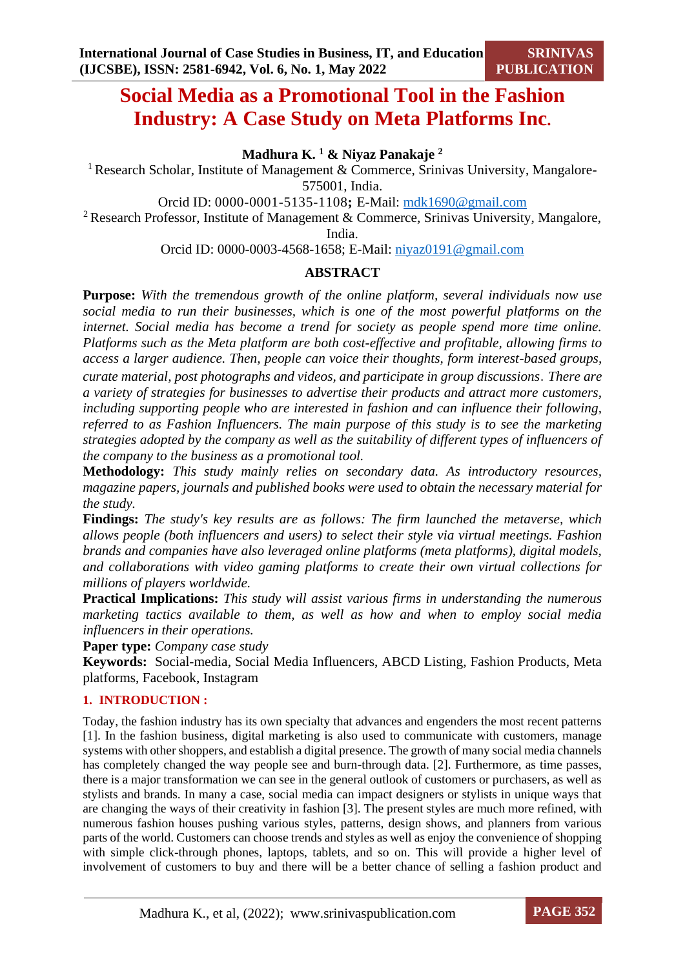# **Social Media as a Promotional Tool in the Fashion Industry: A Case Study on Meta Platforms Inc.**

**Madhura K. <sup>1</sup> & Niyaz Panakaje <sup>2</sup>**

<sup>1</sup> Research Scholar, Institute of Management & Commerce, Srinivas University, Mangalore-575001, India.

Orcid ID: 0000-0001-5135-1108**;** E-Mail: [mdk1690@gmail.com](mailto:mdk1690@gmail.com)

<sup>2</sup> Research Professor, Institute of Management & Commerce, Srinivas University, Mangalore,

India.

Orcid ID: 0000-0003-4568-1658; E-Mail: [niyaz0191@gmail.com](mailto:niyaz0191@gmail.com)

# **ABSTRACT**

**Purpose:** *With the tremendous growth of the online platform, several individuals now use social media to run their businesses, which is one of the most powerful platforms on the internet. Social media has become a trend for society as people spend more time online. Platforms such as the Meta platform are both cost-effective and profitable, allowing firms to access a larger audience. Then, people can voice their thoughts, form interest-based groups, curate material, post photographs and videos, and participate in group discussions*. *There are a variety of strategies for businesses to advertise their products and attract more customers, including supporting people who are interested in fashion and can influence their following, referred to as Fashion Influencers. The main purpose of this study is to see the marketing strategies adopted by the company as well as the suitability of different types of influencers of the company to the business as a promotional tool.*

**Methodology:** *This study mainly relies on secondary data. As introductory resources, magazine papers, journals and published books were used to obtain the necessary material for the study.*

**Findings:** *The study's key results are as follows: The firm launched the metaverse, which allows people (both influencers and users) to select their style via virtual meetings. Fashion brands and companies have also leveraged online platforms (meta platforms), digital models, and collaborations with video gaming platforms to create their own virtual collections for millions of players worldwide.*

**Practical Implications:** *This study will assist various firms in understanding the numerous marketing tactics available to them, as well as how and when to employ social media influencers in their operations.*

**Paper type:** *Company case study*

**Keywords:** Social-media, Social Media Influencers, ABCD Listing, Fashion Products, Meta platforms, Facebook, Instagram

# **1. INTRODUCTION :**

Today, the fashion industry has its own specialty that advances and engenders the most recent patterns [1]. In the fashion business, digital marketing is also used to communicate with customers, manage systems with other shoppers, and establish a digital presence. The growth of many social media channels has completely changed the way people see and burn-through data. [2]. Furthermore, as time passes, there is a major transformation we can see in the general outlook of customers or purchasers, as well as stylists and brands. In many a case, social media can impact designers or stylists in unique ways that are changing the ways of their creativity in fashion [3]. The present styles are much more refined, with numerous fashion houses pushing various styles, patterns, design shows, and planners from various parts of the world. Customers can choose trends and styles as well as enjoy the convenience of shopping with simple click-through phones, laptops, tablets, and so on. This will provide a higher level of involvement of customers to buy and there will be a better chance of selling a fashion product and

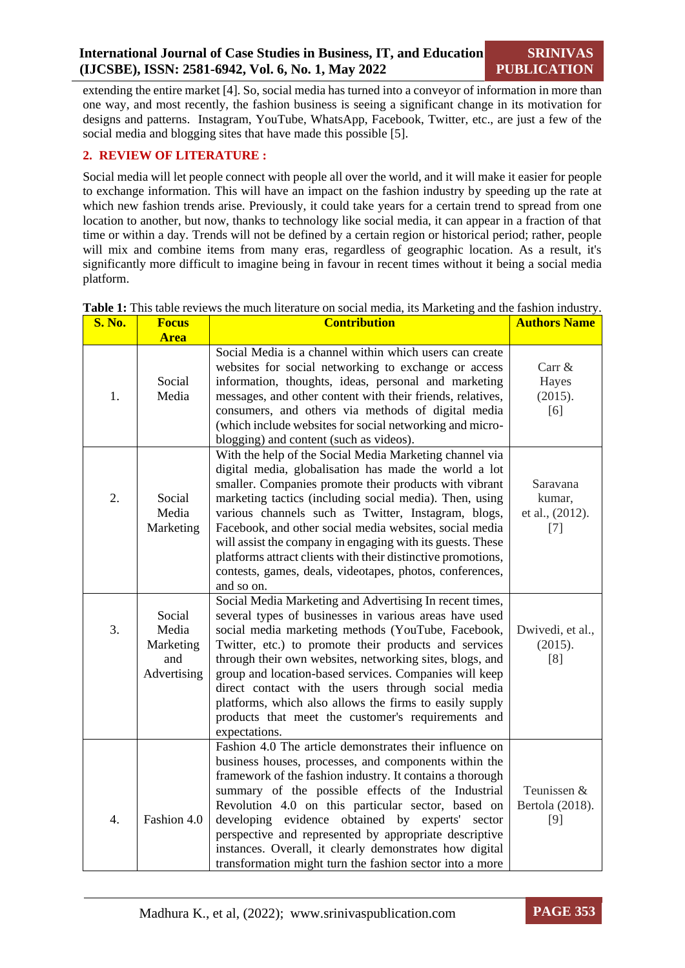extending the entire market [4]. So, social media has turned into a conveyor of information in more than one way, and most recently, the fashion business is seeing a significant change in its motivation for designs and patterns. Instagram, YouTube, WhatsApp, Facebook, Twitter, etc., are just a few of the social media and blogging sites that have made this possible [5].

# **2. REVIEW OF LITERATURE :**

Social media will let people connect with people all over the world, and it will make it easier for people to exchange information. This will have an impact on the fashion industry by speeding up the rate at which new fashion trends arise. Previously, it could take years for a certain trend to spread from one location to another, but now, thanks to technology like social media, it can appear in a fraction of that time or within a day. Trends will not be defined by a certain region or historical period; rather, people will mix and combine items from many eras, regardless of geographic location. As a result, it's significantly more difficult to imagine being in favour in recent times without it being a social media platform.

| <b>S. No.</b>    | <b>Focus</b>                                       | <b>Contribution</b>                                                                                                                                                                                                                                                                                                                                                                                                                                                                                                                                             | <b>Authors Name</b>                            |
|------------------|----------------------------------------------------|-----------------------------------------------------------------------------------------------------------------------------------------------------------------------------------------------------------------------------------------------------------------------------------------------------------------------------------------------------------------------------------------------------------------------------------------------------------------------------------------------------------------------------------------------------------------|------------------------------------------------|
|                  | <b>Area</b>                                        |                                                                                                                                                                                                                                                                                                                                                                                                                                                                                                                                                                 |                                                |
| 1.               | Social<br>Media                                    | Social Media is a channel within which users can create<br>websites for social networking to exchange or access<br>information, thoughts, ideas, personal and marketing<br>messages, and other content with their friends, relatives,<br>consumers, and others via methods of digital media<br>(which include websites for social networking and micro-<br>blogging) and content (such as videos).                                                                                                                                                              | Carr &<br>Hayes<br>(2015).<br>[6]              |
| 2.               | Social<br>Media<br>Marketing                       | With the help of the Social Media Marketing channel via<br>digital media, globalisation has made the world a lot<br>smaller. Companies promote their products with vibrant<br>marketing tactics (including social media). Then, using<br>various channels such as Twitter, Instagram, blogs,<br>Facebook, and other social media websites, social media<br>will assist the company in engaging with its guests. These<br>platforms attract clients with their distinctive promotions,<br>contests, games, deals, videotapes, photos, conferences,<br>and so on. | Saravana<br>kumar,<br>et al., (2012).<br>$[7]$ |
| 3.               | Social<br>Media<br>Marketing<br>and<br>Advertising | Social Media Marketing and Advertising In recent times,<br>several types of businesses in various areas have used<br>social media marketing methods (YouTube, Facebook,<br>Twitter, etc.) to promote their products and services<br>through their own websites, networking sites, blogs, and<br>group and location-based services. Companies will keep<br>direct contact with the users through social media<br>platforms, which also allows the firms to easily supply<br>products that meet the customer's requirements and<br>expectations.                  | Dwivedi, et al.,<br>(2015).<br>[8]             |
| $\overline{4}$ . | Fashion 4.0                                        | Fashion 4.0 The article demonstrates their influence on<br>business houses, processes, and components within the<br>framework of the fashion industry. It contains a thorough<br>summary of the possible effects of the Industrial<br>Revolution 4.0 on this particular sector, based on<br>developing evidence obtained by experts'<br>sector<br>perspective and represented by appropriate descriptive<br>instances. Overall, it clearly demonstrates how digital<br>transformation might turn the fashion sector into a more                                 | Teunissen &<br>Bertola (2018).<br>$[9]$        |

**Table 1:** This table reviews the much literature on social media, its Marketing and the fashion industry.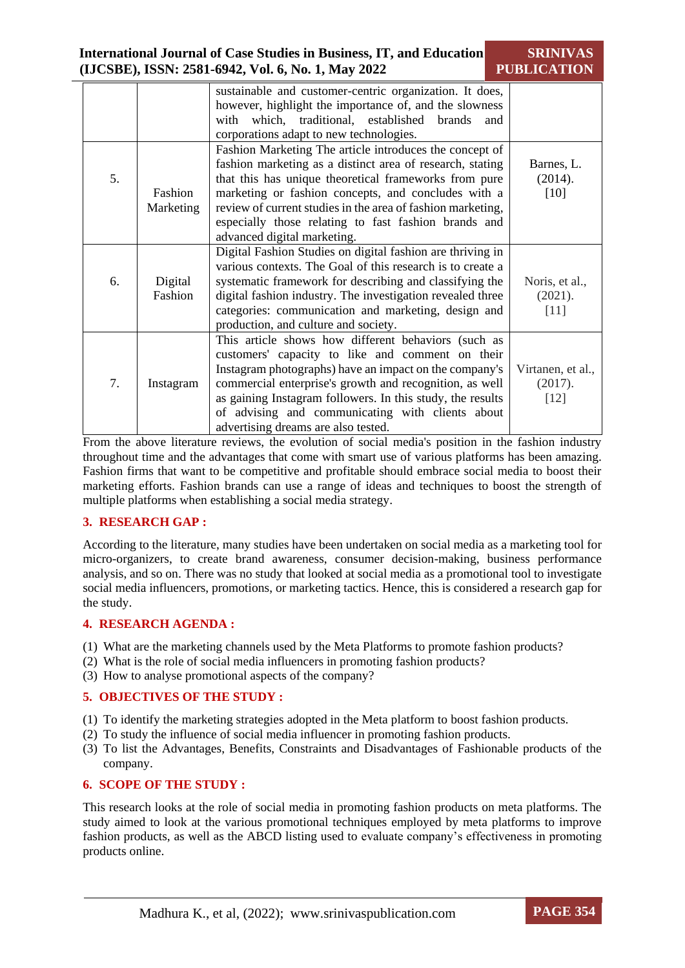|    |                      | sustainable and customer-centric organization. It does,<br>however, highlight the importance of, and the slowness<br>which, traditional, established brands<br>with<br>and<br>corporations adapt to new technologies.                                                                                                                                                                      |                                        |
|----|----------------------|--------------------------------------------------------------------------------------------------------------------------------------------------------------------------------------------------------------------------------------------------------------------------------------------------------------------------------------------------------------------------------------------|----------------------------------------|
| 5. | Fashion<br>Marketing | Fashion Marketing The article introduces the concept of<br>fashion marketing as a distinct area of research, stating<br>that this has unique theoretical frameworks from pure<br>marketing or fashion concepts, and concludes with a<br>review of current studies in the area of fashion marketing,<br>especially those relating to fast fashion brands and<br>advanced digital marketing. | Barnes, L.<br>(2014).<br>[10]          |
| 6. | Digital<br>Fashion   | Digital Fashion Studies on digital fashion are thriving in<br>various contexts. The Goal of this research is to create a<br>systematic framework for describing and classifying the<br>digital fashion industry. The investigation revealed three<br>categories: communication and marketing, design and<br>production, and culture and society.                                           | Noris, et al.,<br>(2021).<br>$[11]$    |
| 7. | Instagram            | This article shows how different behaviors (such as<br>customers' capacity to like and comment on their<br>Instagram photographs) have an impact on the company's<br>commercial enterprise's growth and recognition, as well<br>as gaining Instagram followers. In this study, the results<br>of advising and communicating with clients about<br>advertising dreams are also tested.      | Virtanen, et al.,<br>(2017).<br>$[12]$ |

From the above literature reviews, the evolution of social media's position in the fashion industry throughout time and the advantages that come with smart use of various platforms has been amazing. Fashion firms that want to be competitive and profitable should embrace social media to boost their marketing efforts. Fashion brands can use a range of ideas and techniques to boost the strength of multiple platforms when establishing a social media strategy.

# **3. RESEARCH GAP :**

According to the literature, many studies have been undertaken on social media as a marketing tool for micro-organizers, to create brand awareness, consumer decision-making, business performance analysis, and so on. There was no study that looked at social media as a promotional tool to investigate social media influencers, promotions, or marketing tactics. Hence, this is considered a research gap for the study.

# **4. RESEARCH AGENDA :**

- (1) What are the marketing channels used by the Meta Platforms to promote fashion products?
- (2) What is the role of social media influencers in promoting fashion products?
- (3) How to analyse promotional aspects of the company?

#### **5. OBJECTIVES OF THE STUDY :**

- (1) To identify the marketing strategies adopted in the Meta platform to boost fashion products.
- (2) To study the influence of social media influencer in promoting fashion products.
- (3) To list the Advantages, Benefits, Constraints and Disadvantages of Fashionable products of the company.

#### **6. SCOPE OF THE STUDY :**

This research looks at the role of social media in promoting fashion products on meta platforms. The study aimed to look at the various promotional techniques employed by meta platforms to improve fashion products, as well as the ABCD listing used to evaluate company's effectiveness in promoting products online.

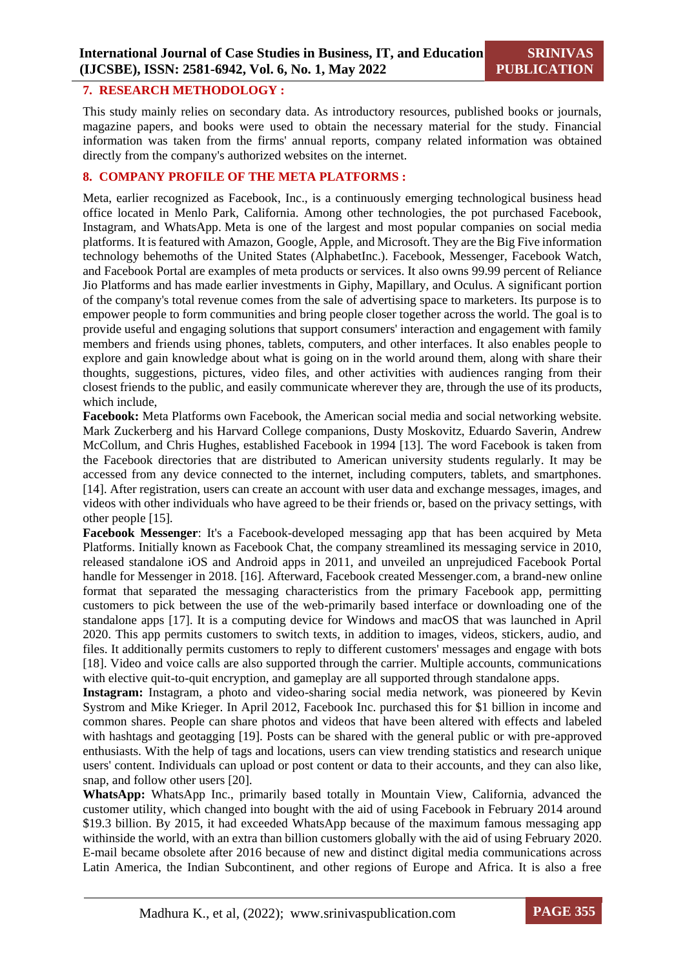#### **7. RESEARCH METHODOLOGY :**

This study mainly relies on secondary data. As introductory resources, published books or journals, magazine papers, and books were used to obtain the necessary material for the study. Financial information was taken from the firms' annual reports, company related information was obtained directly from the company's authorized websites on the internet.

### **8. COMPANY PROFILE OF THE META PLATFORMS :**

Meta, earlier recognized as Facebook, Inc., is a continuously emerging technological business head office located in Menlo Park, California. Among other technologies, the pot purchased Facebook, Instagram, and WhatsApp. Meta is one of the largest and most popular companies on social media platforms. It is featured with Amazon, Google, Apple, and Microsoft. They are the Big Five information technology behemoths of the United States (AlphabetInc.). Facebook, Messenger, Facebook Watch, and Facebook Portal are examples of meta products or services. It also owns 99.99 percent of Reliance Jio Platforms and has made earlier investments in Giphy, Mapillary, and Oculus. A significant portion of the company's total revenue comes from the sale of advertising space to marketers. Its purpose is to empower people to form communities and bring people closer together across the world. The goal is to provide useful and engaging solutions that support consumers' interaction and engagement with family members and friends using phones, tablets, computers, and other interfaces. It also enables people to explore and gain knowledge about what is going on in the world around them, along with share their thoughts, suggestions, pictures, video files, and other activities with audiences ranging from their closest friends to the public, and easily communicate wherever they are, through the use of its products, which include,

**Facebook:** Meta Platforms own Facebook, the American social media and social networking website. Mark Zuckerberg and his Harvard College companions, Dusty Moskovitz, Eduardo Saverin, Andrew McCollum, and Chris Hughes, established Facebook in 1994 [13]. The word Facebook is taken from the Facebook directories that are distributed to American university students regularly. It may be accessed from any device connected to the internet, including computers, tablets, and smartphones. [14]. After registration, users can create an account with user data and exchange messages, images, and videos with other individuals who have agreed to be their friends or, based on the privacy settings, with other people [15].

**Facebook Messenger**: It's a Facebook-developed messaging app that has been acquired by Meta Platforms. Initially known as Facebook Chat, the company streamlined its messaging service in 2010, released standalone iOS and Android apps in 2011, and unveiled an unprejudiced Facebook Portal handle for Messenger in 2018. [16]. Afterward, Facebook created Messenger.com, a brand-new online format that separated the messaging characteristics from the primary Facebook app, permitting customers to pick between the use of the web-primarily based interface or downloading one of the standalone apps [17]. It is a computing device for Windows and macOS that was launched in April 2020. This app permits customers to switch texts, in addition to images, videos, stickers, audio, and files. It additionally permits customers to reply to different customers' messages and engage with bots [18]. Video and voice calls are also supported through the carrier. Multiple accounts, communications with elective quit-to-quit encryption, and gameplay are all supported through standalone apps.

**Instagram:** Instagram, a photo and video-sharing social media network, was pioneered by Kevin Systrom and Mike Krieger. In April 2012, Facebook Inc. purchased this for \$1 billion in income and common shares. People can share photos and videos that have been altered with effects and labeled with hashtags and geotagging [19]. Posts can be shared with the general public or with pre-approved enthusiasts. With the help of tags and locations, users can view trending statistics and research unique users' content. Individuals can upload or post content or data to their accounts, and they can also like, snap, and follow other users [20].

**WhatsApp:** WhatsApp Inc., primarily based totally in Mountain View, California, advanced the customer utility, which changed into bought with the aid of using Facebook in February 2014 around \$19.3 billion. By 2015, it had exceeded WhatsApp because of the maximum famous messaging app withinside the world, with an extra than billion customers globally with the aid of using February 2020. E-mail became obsolete after 2016 because of new and distinct digital media communications across Latin America, the Indian Subcontinent, and other regions of Europe and Africa. It is also a free

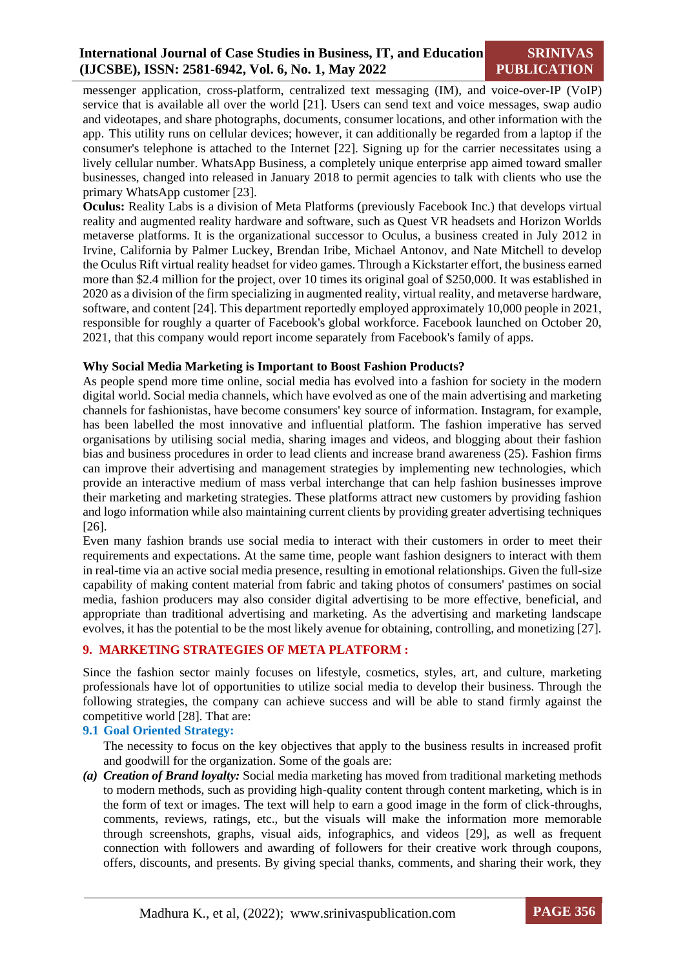# **International Journal of Case Studies in Business, IT, and Education (IJCSBE), ISSN: 2581-6942, Vol. 6, No. 1, May 2022**

**SRINIVAS PUBLICATION**

messenger application, cross-platform, centralized text messaging (IM), and voice-over-IP (VoIP) service that is available all over the world [21]. Users can send text and voice messages, swap audio and videotapes, and share photographs, documents, consumer locations, and other information with the app. This utility runs on cellular devices; however, it can additionally be regarded from a laptop if the consumer's telephone is attached to the Internet [22]. Signing up for the carrier necessitates using a lively cellular number. WhatsApp Business, a completely unique enterprise app aimed toward smaller businesses, changed into released in January 2018 to permit agencies to talk with clients who use the primary WhatsApp customer [23].

**Oculus:** Reality Labs is a division of Meta Platforms (previously Facebook Inc.) that develops virtual reality and augmented reality hardware and software, such as Quest VR headsets and Horizon Worlds metaverse platforms. It is the organizational successor to Oculus, a business created in July 2012 in Irvine, California by Palmer Luckey, Brendan Iribe, Michael Antonov, and Nate Mitchell to develop the Oculus Rift virtual reality headset for video games. Through a Kickstarter effort, the business earned more than \$2.4 million for the project, over 10 times its original goal of \$250,000. It was established in 2020 as a division of the firm specializing in augmented reality, virtual reality, and metaverse hardware, software, and content [24]. This department reportedly employed approximately 10,000 people in 2021, responsible for roughly a quarter of Facebook's global workforce. Facebook launched on October 20, 2021, that this company would report income separately from Facebook's family of apps.

#### **Why Social Media Marketing is Important to Boost Fashion Products?**

As people spend more time online, social media has evolved into a fashion for society in the modern digital world. Social media channels, which have evolved as one of the main advertising and marketing channels for fashionistas, have become consumers' key source of information. Instagram, for example, has been labelled the most innovative and influential platform. The fashion imperative has served organisations by utilising social media, sharing images and videos, and blogging about their fashion bias and business procedures in order to lead clients and increase brand awareness (25). Fashion firms can improve their advertising and management strategies by implementing new technologies, which provide an interactive medium of mass verbal interchange that can help fashion businesses improve their marketing and marketing strategies. These platforms attract new customers by providing fashion and logo information while also maintaining current clients by providing greater advertising techniques [26].

Even many fashion brands use social media to interact with their customers in order to meet their requirements and expectations. At the same time, people want fashion designers to interact with them in real-time via an active social media presence, resulting in emotional relationships. Given the full-size capability of making content material from fabric and taking photos of consumers' pastimes on social media, fashion producers may also consider digital advertising to be more effective, beneficial, and appropriate than traditional advertising and marketing. As the advertising and marketing landscape evolves, it has the potential to be the most likely avenue for obtaining, controlling, and monetizing [27].

#### **9. MARKETING STRATEGIES OF META PLATFORM :**

Since the fashion sector mainly focuses on lifestyle, cosmetics, styles, art, and culture, marketing professionals have lot of opportunities to utilize social media to develop their business. Through the following strategies, the company can achieve success and will be able to stand firmly against the competitive world [28]. That are:

#### **9.1 Goal Oriented Strategy:**

The necessity to focus on the key objectives that apply to the business results in increased profit and goodwill for the organization. Some of the goals are:

*(a) Creation of Brand loyalty:* Social media marketing has moved from traditional marketing methods to modern methods, such as providing high-quality content through content marketing, which is in the form of text or images. The text will help to earn a good image in the form of click-throughs, comments, reviews, ratings, etc., but the visuals will make the information more memorable through screenshots, graphs, visual aids, infographics, and videos [29], as well as frequent connection with followers and awarding of followers for their creative work through coupons, offers, discounts, and presents. By giving special thanks, comments, and sharing their work, they

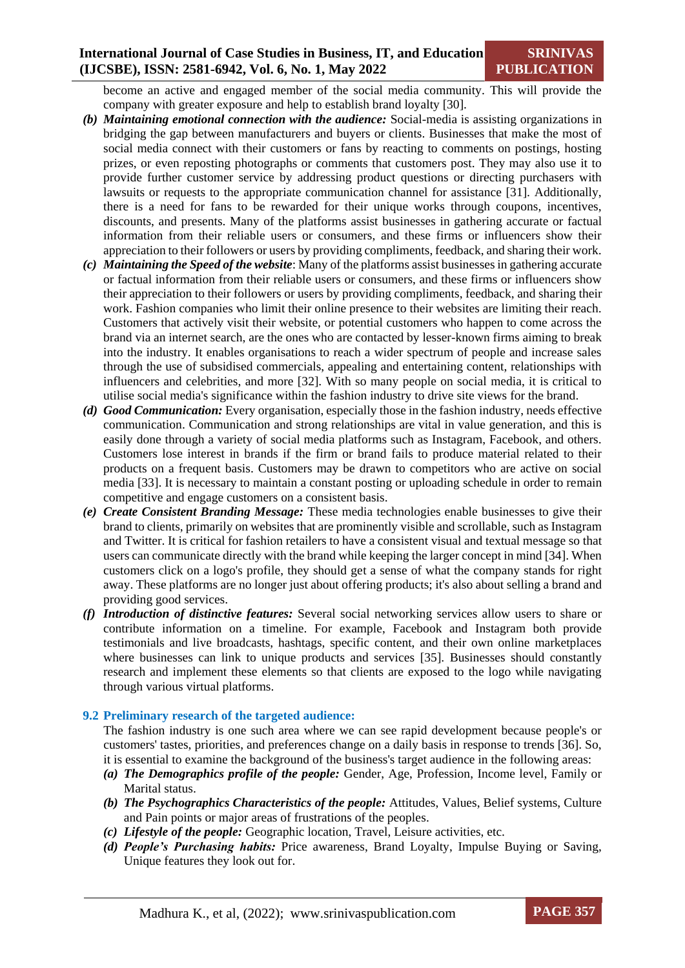become an active and engaged member of the social media community. This will provide the company with greater exposure and help to establish brand loyalty [30].

- *(b) Maintaining emotional connection with the audience:* Social-media is assisting organizations in bridging the gap between manufacturers and buyers or clients. Businesses that make the most of social media connect with their customers or fans by reacting to comments on postings, hosting prizes, or even reposting photographs or comments that customers post. They may also use it to provide further customer service by addressing product questions or directing purchasers with lawsuits or requests to the appropriate communication channel for assistance [31]. Additionally, there is a need for fans to be rewarded for their unique works through coupons, incentives, discounts, and presents. Many of the platforms assist businesses in gathering accurate or factual information from their reliable users or consumers, and these firms or influencers show their appreciation to their followers or users by providing compliments, feedback, and sharing their work.
- *(c) Maintaining the Speed of the website*: Many of the platforms assist businesses in gathering accurate or factual information from their reliable users or consumers, and these firms or influencers show their appreciation to their followers or users by providing compliments, feedback, and sharing their work. Fashion companies who limit their online presence to their websites are limiting their reach. Customers that actively visit their website, or potential customers who happen to come across the brand via an internet search, are the ones who are contacted by lesser-known firms aiming to break into the industry. It enables organisations to reach a wider spectrum of people and increase sales through the use of subsidised commercials, appealing and entertaining content, relationships with influencers and celebrities, and more [32]. With so many people on social media, it is critical to utilise social media's significance within the fashion industry to drive site views for the brand.
- *(d) Good Communication:* Every organisation, especially those in the fashion industry, needs effective communication. Communication and strong relationships are vital in value generation, and this is easily done through a variety of social media platforms such as Instagram, Facebook, and others. Customers lose interest in brands if the firm or brand fails to produce material related to their products on a frequent basis. Customers may be drawn to competitors who are active on social media [33]. It is necessary to maintain a constant posting or uploading schedule in order to remain competitive and engage customers on a consistent basis.
- *(e) Create Consistent Branding Message:* These media technologies enable businesses to give their brand to clients, primarily on websites that are prominently visible and scrollable, such as Instagram and Twitter. It is critical for fashion retailers to have a consistent visual and textual message so that users can communicate directly with the brand while keeping the larger concept in mind [34]. When customers click on a logo's profile, they should get a sense of what the company stands for right away. These platforms are no longer just about offering products; it's also about selling a brand and providing good services.
- *(f) Introduction of distinctive features:* Several social networking services allow users to share or contribute information on a timeline. For example, Facebook and Instagram both provide testimonials and live broadcasts, hashtags, specific content, and their own online marketplaces where businesses can link to unique products and services [35]. Businesses should constantly research and implement these elements so that clients are exposed to the logo while navigating through various virtual platforms.

#### **9.2 Preliminary research of the targeted audience:**

The fashion industry is one such area where we can see rapid development because people's or customers' tastes, priorities, and preferences change on a daily basis in response to trends [36]. So, it is essential to examine the background of the business's target audience in the following areas:

- *(a) The Demographics profile of the people:* Gender, Age, Profession, Income level, Family or Marital status.
- *(b) The Psychographics Characteristics of the people:* Attitudes, Values, Belief systems, Culture and Pain points or major areas of frustrations of the peoples.
- *(c) Lifestyle of the people:* Geographic location, Travel, Leisure activities, etc.
- *(d) People's Purchasing habits:* Price awareness, Brand Loyalty, Impulse Buying or Saving, Unique features they look out for.

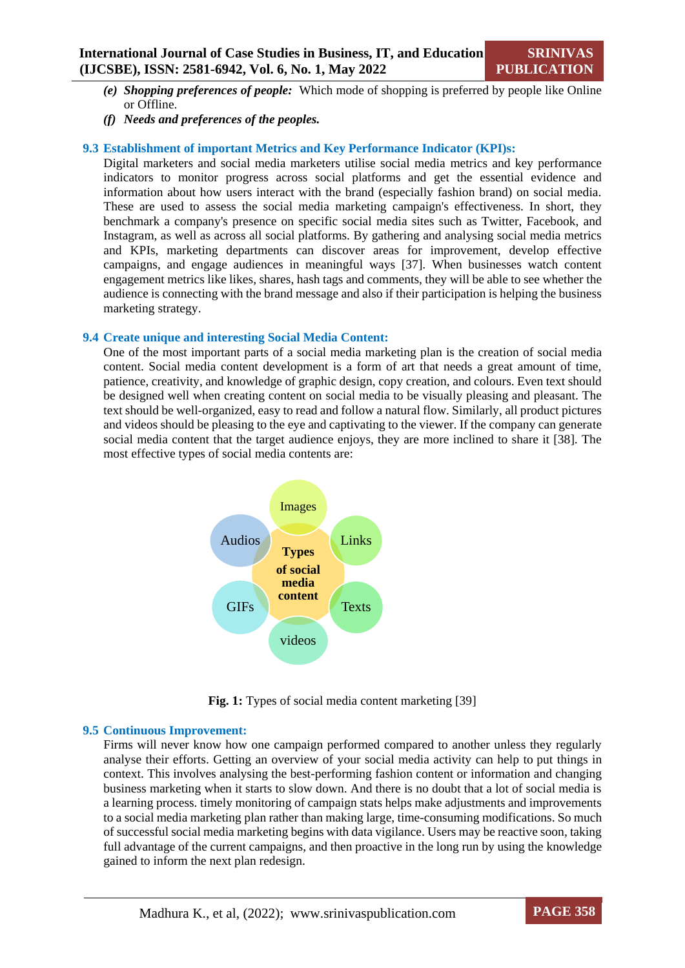- *(e) Shopping preferences of people:* Which mode of shopping is preferred by people like Online or Offline.
- *(f) Needs and preferences of the peoples.*

#### **9.3 Establishment of important Metrics and Key Performance Indicator (KPI)s:**

Digital marketers and social media marketers utilise social media metrics and key performance indicators to monitor progress across social platforms and get the essential evidence and information about how users interact with the brand (especially fashion brand) on social media. These are used to assess the social media marketing campaign's effectiveness. In short, they benchmark a company's presence on specific social media sites such as Twitter, Facebook, and Instagram, as well as across all social platforms. By gathering and analysing social media metrics and KPIs, marketing departments can discover areas for improvement, develop effective campaigns, and engage audiences in meaningful ways [37]. When businesses watch content engagement metrics like likes, shares, hash tags and comments, they will be able to see whether the audience is connecting with the brand message and also if their participation is helping the business marketing strategy.

#### **9.4 Create unique and interesting Social Media Content:**

One of the most important parts of a social media marketing plan is the creation of social media content. Social media content development is a form of art that needs a great amount of time, patience, creativity, and knowledge of graphic design, copy creation, and colours. Even text should be designed well when creating content on social media to be visually pleasing and pleasant. The text should be well-organized, easy to read and follow a natural flow. Similarly, all product pictures and videos should be pleasing to the eye and captivating to the viewer. If the company can generate social media content that the target audience enjoys, they are more inclined to share it [38]. The most effective types of social media contents are:



Fig. 1: Types of social media content marketing [39]

#### **9.5 Continuous Improvement:**

Firms will never know how one campaign performed compared to another unless they regularly analyse their efforts. Getting an overview of your social media activity can help to put things in context. This involves analysing the best-performing fashion content or information and changing business marketing when it starts to slow down. And there is no doubt that a lot of social media is a learning process. timely monitoring of campaign stats helps make adjustments and improvements to a social media marketing plan rather than making large, time-consuming modifications. So much of successful social media marketing begins with data vigilance. Users may be reactive soon, taking full advantage of the current campaigns, and then proactive in the long run by using the knowledge gained to inform the next plan redesign.

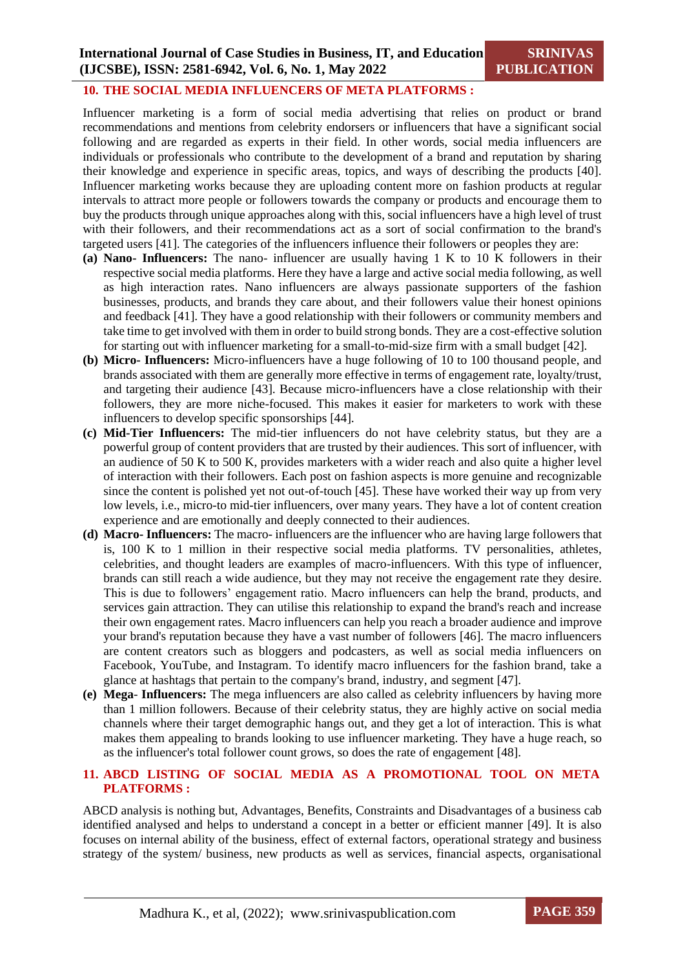#### **10. THE SOCIAL MEDIA INFLUENCERS OF META PLATFORMS :**

Influencer marketing is a form of social media advertising that relies on product or brand recommendations and mentions from celebrity endorsers or influencers that have a significant social following and are regarded as experts in their field. In other words, social media influencers are individuals or professionals who contribute to the development of a brand and reputation by sharing their knowledge and experience in specific areas, topics, and ways of describing the products [40]. Influencer marketing works because they are uploading content more on fashion products at regular intervals to attract more people or followers towards the company or products and encourage them to buy the products through unique approaches along with this, social influencers have a high level of trust with their followers, and their recommendations act as a sort of social confirmation to the brand's targeted users [41]. The categories of the influencers influence their followers or peoples they are:

- **(a) Nano- Influencers:** The nano- influencer are usually having 1 K to 10 K followers in their respective social media platforms. Here they have a large and active social media following, as well as high interaction rates. Nano influencers are always passionate supporters of the fashion businesses, products, and brands they care about, and their followers value their honest opinions and feedback [41]. They have a good relationship with their followers or community members and take time to get involved with them in order to build strong bonds. They are a cost-effective solution for starting out with influencer marketing for a small-to-mid-size firm with a small budget [42].
- **(b) Micro- Influencers:** Micro-influencers have a huge following of 10 to 100 thousand people, and brands associated with them are generally more effective in terms of engagement rate, loyalty/trust, and targeting their audience [43]. Because micro-influencers have a close relationship with their followers, they are more niche-focused. This makes it easier for marketers to work with these influencers to develop specific sponsorships [44].
- **(c) Mid-Tier Influencers:** The mid-tier influencers do not have celebrity status, but they are a powerful group of content providers that are trusted by their audiences. This sort of influencer, with an audience of 50 K to 500 K, provides marketers with a wider reach and also quite a higher level of interaction with their followers. Each post on fashion aspects is more genuine and recognizable since the content is polished yet not out-of-touch [45]. These have worked their way up from very low levels, i.e., micro-to mid-tier influencers, over many years. They have a lot of content creation experience and are emotionally and deeply connected to their audiences.
- **(d) Macro- Influencers:** The macro- influencers are the influencer who are having large followers that is, 100 K to 1 million in their respective social media platforms. TV personalities, athletes, celebrities, and thought leaders are examples of macro-influencers. With this type of influencer, brands can still reach a wide audience, but they may not receive the engagement rate they desire. This is due to followers' engagement ratio. Macro influencers can help the brand, products, and services gain attraction. They can utilise this relationship to expand the brand's reach and increase their own engagement rates. Macro influencers can help you reach a broader audience and improve your brand's reputation because they have a vast number of followers [46]. The macro influencers are content creators such as bloggers and podcasters, as well as social media influencers on Facebook, YouTube, and Instagram. To identify macro influencers for the fashion brand, take a glance at hashtags that pertain to the company's brand, industry, and segment [47].
- **(e) Mega Influencers:** The mega influencers are also called as celebrity influencers by having more than 1 million followers. Because of their celebrity status, they are highly active on social media channels where their target demographic hangs out, and they get a lot of interaction. This is what makes them appealing to brands looking to use influencer marketing. They have a huge reach, so as the influencer's total follower count grows, so does the rate of engagement [48].

# **11. ABCD LISTING OF SOCIAL MEDIA AS A PROMOTIONAL TOOL ON META PLATFORMS :**

ABCD analysis is nothing but, Advantages, Benefits, Constraints and Disadvantages of a business cab identified analysed and helps to understand a concept in a better or efficient manner [49]. It is also focuses on internal ability of the business, effect of external factors, operational strategy and business strategy of the system/ business, new products as well as services, financial aspects, organisational

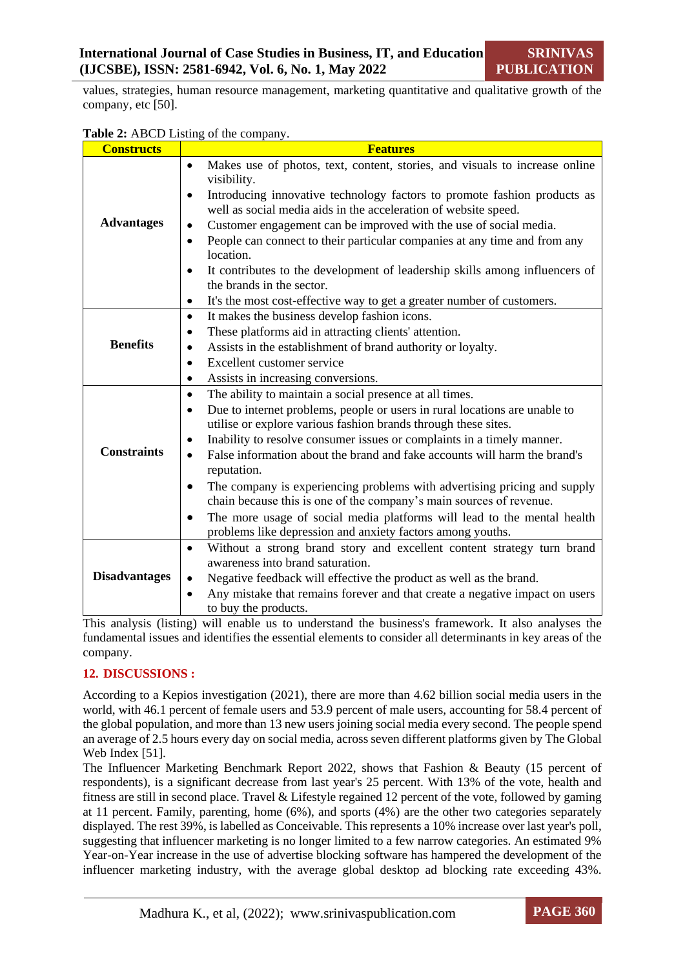values, strategies, human resource management, marketing quantitative and qualitative growth of the company, etc [50].

| <b>Constructs</b>    | or and company<br><b>Features</b>                                                                                                                            |
|----------------------|--------------------------------------------------------------------------------------------------------------------------------------------------------------|
|                      | Makes use of photos, text, content, stories, and visuals to increase online<br>$\bullet$<br>visibility.                                                      |
|                      | Introducing innovative technology factors to promote fashion products as<br>$\bullet$                                                                        |
|                      | well as social media aids in the acceleration of website speed.                                                                                              |
| <b>Advantages</b>    | Customer engagement can be improved with the use of social media.<br>$\bullet$                                                                               |
|                      | People can connect to their particular companies at any time and from any<br>$\bullet$<br>location.                                                          |
|                      | It contributes to the development of leadership skills among influencers of<br>$\bullet$                                                                     |
|                      | the brands in the sector.                                                                                                                                    |
|                      | It's the most cost-effective way to get a greater number of customers.<br>$\bullet$                                                                          |
|                      | It makes the business develop fashion icons.<br>$\bullet$                                                                                                    |
|                      | These platforms aid in attracting clients' attention.<br>$\bullet$                                                                                           |
| <b>Benefits</b>      | Assists in the establishment of brand authority or loyalty.<br>$\bullet$                                                                                     |
|                      | Excellent customer service<br>$\bullet$                                                                                                                      |
|                      | Assists in increasing conversions.<br>$\bullet$                                                                                                              |
|                      | The ability to maintain a social presence at all times.<br>$\bullet$                                                                                         |
|                      | Due to internet problems, people or users in rural locations are unable to<br>$\bullet$                                                                      |
|                      | utilise or explore various fashion brands through these sites.                                                                                               |
|                      | Inability to resolve consumer issues or complaints in a timely manner.<br>$\bullet$                                                                          |
| <b>Constraints</b>   | False information about the brand and fake accounts will harm the brand's<br>$\bullet$<br>reputation.                                                        |
|                      | The company is experiencing problems with advertising pricing and supply<br>$\bullet$<br>chain because this is one of the company's main sources of revenue. |
|                      | The more usage of social media platforms will lead to the mental health<br>$\bullet$<br>problems like depression and anxiety factors among youths.           |
|                      | Without a strong brand story and excellent content strategy turn brand<br>$\bullet$                                                                          |
|                      | awareness into brand saturation.                                                                                                                             |
| <b>Disadvantages</b> | Negative feedback will effective the product as well as the brand.<br>$\bullet$                                                                              |
|                      | Any mistake that remains forever and that create a negative impact on users                                                                                  |
|                      | to buy the products.                                                                                                                                         |

**Table 2:** ABCD Listing of the company.

This analysis (listing) will enable us to understand the business's framework. It also analyses the fundamental issues and identifies the essential elements to consider all determinants in key areas of the company.

# **12. DISCUSSIONS :**

According to a Kepios investigation (2021), there are more than 4.62 billion social media users in the world, with 46.1 percent of female users and 53.9 percent of male users, accounting for 58.4 percent of the global population, and more than 13 new users joining social media every second. The people spend an average of 2.5 hours every day on social media, across seven different platforms given by The Global Web Index [51].

The Influencer Marketing Benchmark Report 2022, shows that Fashion & Beauty (15 percent of respondents), is a significant decrease from last year's 25 percent. With 13% of the vote, health and fitness are still in second place. Travel & Lifestyle regained 12 percent of the vote, followed by gaming at 11 percent. Family, parenting, home (6%), and sports (4%) are the other two categories separately displayed. The rest 39%, is labelled as Conceivable. This represents a 10% increase over last year's poll, suggesting that influencer marketing is no longer limited to a few narrow categories. An estimated 9% Year-on-Year increase in the use of advertise blocking software has hampered the development of the influencer marketing industry, with the average global desktop ad blocking rate exceeding 43%.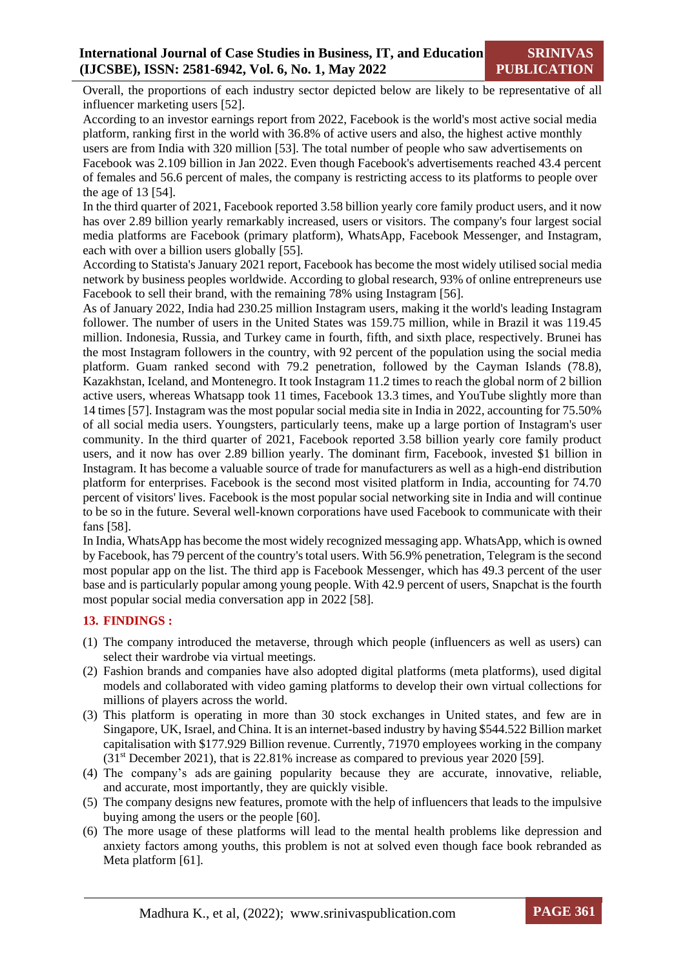Overall, the proportions of each industry sector depicted below are likely to be representative of all influencer marketing users [52].

According to an investor earnings report from 2022, Facebook is the world's most active social media platform, ranking first in the world with 36.8% of active users and also, the highest active monthly users are from India with 320 million [53]. The total number of people who saw advertisements on Facebook was 2.109 billion in Jan 2022. Even though Facebook's advertisements reached 43.4 percent of females and 56.6 percent of males, the company is restricting access to its platforms to people over the age of 13 [54].

In the third quarter of 2021, Facebook reported 3.58 billion yearly core family product users, and it now has over 2.89 billion yearly remarkably increased, users or visitors. The company's four largest social media platforms are Facebook (primary platform), WhatsApp, Facebook Messenger, and Instagram, each with over a billion users globally [55].

According to Statista's January 2021 report, Facebook has become the most widely utilised social media network by business peoples worldwide. According to global research, 93% of online entrepreneurs use Facebook to sell their brand, with the remaining 78% using Instagram [56].

As of January 2022, India had 230.25 million Instagram users, making it the world's leading Instagram follower. The number of users in the United States was 159.75 million, while in Brazil it was 119.45 million. Indonesia, Russia, and Turkey came in fourth, fifth, and sixth place, respectively. Brunei has the most Instagram followers in the country, with 92 percent of the population using the social media platform. Guam ranked second with 79.2 penetration, followed by the Cayman Islands (78.8), Kazakhstan, Iceland, and Montenegro. It took Instagram 11.2 times to reach the global norm of 2 billion active users, whereas Whatsapp took 11 times, Facebook 13.3 times, and YouTube slightly more than 14 times [57]. Instagram was the most popular social media site in India in 2022, accounting for 75.50% of all social media users. Youngsters, particularly teens, make up a large portion of Instagram's user community. In the third quarter of 2021, Facebook reported 3.58 billion yearly core family product users, and it now has over 2.89 billion yearly. The dominant firm, Facebook, invested \$1 billion in Instagram. It has become a valuable source of trade for manufacturers as well as a high-end distribution platform for enterprises. Facebook is the second most visited platform in India, accounting for 74.70 percent of visitors' lives. Facebook is the most popular social networking site in India and will continue to be so in the future. Several well-known corporations have used Facebook to communicate with their fans [58].

In India, WhatsApp has become the most widely recognized messaging app. WhatsApp, which is owned by Facebook, has 79 percent of the country's total users. With 56.9% penetration, Telegram is the second most popular app on the list. The third app is Facebook Messenger, which has 49.3 percent of the user base and is particularly popular among young people. With 42.9 percent of users, Snapchat is the fourth most popular social media conversation app in 2022 [58].

# **13. FINDINGS :**

- (1) The company introduced the metaverse, through which people (influencers as well as users) can select their wardrobe via virtual meetings.
- (2) Fashion brands and companies have also adopted digital platforms (meta platforms), used digital models and collaborated with video gaming platforms to develop their own virtual collections for millions of players across the world.
- (3) This platform is operating in more than 30 stock exchanges in United states, and few are in Singapore, UK, Israel, and China. It is an internet-based industry by having \$544.522 Billion market capitalisation with \$177.929 Billion revenue. Currently, 71970 employees working in the company  $(31<sup>st</sup>$  December 2021), that is 22.81% increase as compared to previous year 2020 [59].
- (4) The company's ads are gaining popularity because they are accurate, innovative, reliable, and accurate, most importantly, they are quickly visible.
- (5) The company designs new features, promote with the help of influencers that leads to the impulsive buying among the users or the people [60].
- (6) The more usage of these platforms will lead to the mental health problems like depression and anxiety factors among youths, this problem is not at solved even though face book rebranded as Meta platform [61].

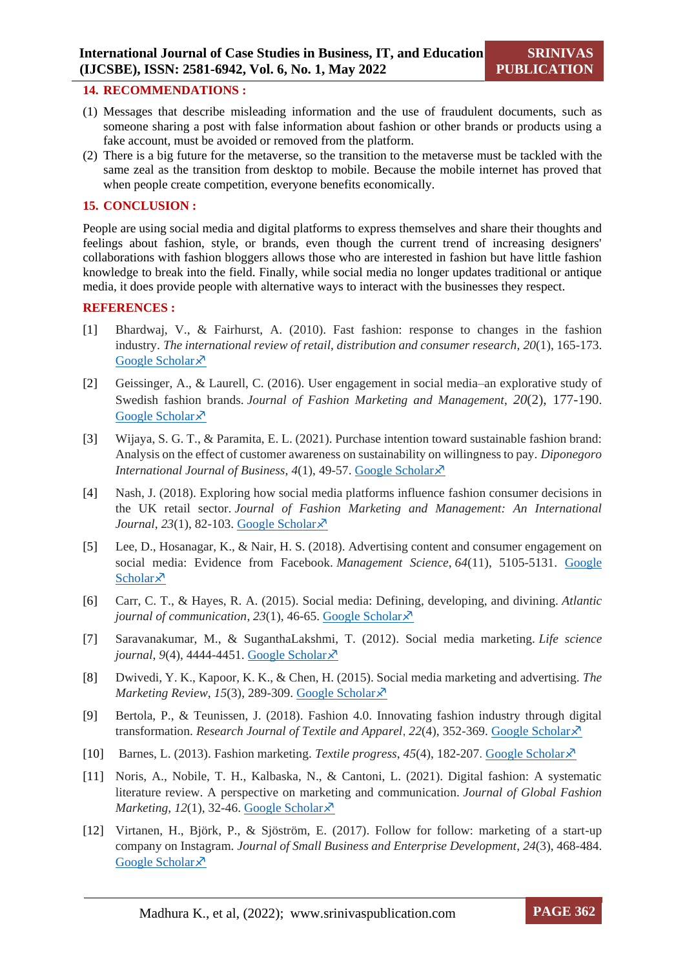#### **14. RECOMMENDATIONS :**

- (1) Messages that describe misleading information and the use of fraudulent documents, such as someone sharing a post with false information about fashion or other brands or products using a fake account, must be avoided or removed from the platform.
- (2) There is a big future for the metaverse, so the transition to the metaverse must be tackled with the same zeal as the transition from desktop to mobile. Because the mobile internet has proved that when people create competition, everyone benefits economically.

#### **15. CONCLUSION :**

People are using social media and digital platforms to express themselves and share their thoughts and feelings about fashion, style, or brands, even though the current trend of increasing designers' collaborations with fashion bloggers allows those who are interested in fashion but have little fashion knowledge to break into the field. Finally, while social media no longer updates traditional or antique media, it does provide people with alternative ways to interact with the businesses they respect.

#### **REFERENCES :**

- [1] Bhardwaj, V., & Fairhurst, A. (2010). Fast fashion: response to changes in the fashion industry. *The international review of retail, distribution and consumer research*, *20*(1), 165-173. [Google Scholar](https://www.tandfonline.com/doi/full/10.1080/09593960903498300?scroll=top&needAccess=true) ×
- [2] Geissinger, A., & Laurell, C. (2016). User engagement in social media–an explorative study of Swedish fashion brands. *Journal of Fashion Marketing and Management*, *20*(2), 177-190. [Google Scholar](https://www.emerald.com/insight/content/doi/10.1108/JFMM-02-2015-0010/full/html) ×
- [3] Wijaya, S. G. T., & Paramita, E. L. (2021). Purchase intention toward sustainable fashion brand: Analysis on the effect of customer awareness on sustainability on willingness to pay. *Diponegoro International Journal of Business, 4(1), 49-57. [Google Scholar](https://ejournal2.undip.ac.id/index.php/ijb/article/view/10264)*  $\lambda$
- [4] Nash, J. (2018). Exploring how social media platforms influence fashion consumer decisions in the UK retail sector. *Journal of Fashion Marketing and Management: An International Journal*, 23(1), 82-103. [Google Scholar](https://www.emerald.com/insight/content/doi/10.1108/JFMM-01-2018-0012/full/html)  $\lambda$
- [5] Lee, D., Hosanagar, K., & Nair, H. S. (2018). Advertising content and consumer engagement on social media: Evidence from Facebook. *Management Science*, *64*(11), 5105-5131. [Google](https://pubsonline.informs.org/doi/abs/10.1287/mnsc.2017.2902)  [Scholar](https://pubsonline.informs.org/doi/abs/10.1287/mnsc.2017.2902) $\lambda$
- [6] Carr, C. T., & Hayes, R. A. (2015). Social media: Defining, developing, and divining. *Atlantic journal of communication, 23(1), 46-65. [Google Scholar](https://www.tandfonline.com/doi/full/10.1080/15456870.2015.972282?scroll=top&needAccess=true)* $\lambda$
- [7] Saravanakumar, M., & SuganthaLakshmi, T. (2012). Social media marketing. *Life science journal*, 9(4), 4444-4451. [Google Scholar](https://scholar.google.com/scholar?cluster=10221067722518249438&hl=en&as_sdt=0,5)  $\lambda$
- [8] Dwivedi, Y. K., Kapoor, K. K., & Chen, H. (2015). Social media marketing and advertising. *The Marketing Review, 15(3), 289-309. [Google Scholar](https://www.ingentaconnect.com/content/westburn/tmr/2015/00000015/00000003/art00003)* $\lambda$ <sup>7</sup>
- [9] Bertola, P., & Teunissen, J. (2018). Fashion 4.0. Innovating fashion industry through digital transformation. *Research Journal of Textile and Apparel*, *22*(4), 352-369. [Google Scholar](https://www.emerald.com/insight/content/doi/10.1108/RJTA-03-2018-0023/full/html)
- [10] Barnes, L. (2013). Fashion marketing. *Textile progress*,  $45(4)$ , 182-207. [Google Scholar](https://www.tandfonline.com/doi/abs/10.1080/00405167.2013.868677) $\overline{\mathcal{S}}$
- [11] Noris, A., Nobile, T. H., Kalbaska, N., & Cantoni, L. (2021). Digital fashion: A systematic literature review. A perspective on marketing and communication. *Journal of Global Fashion Marketing*,  $12(1)$ , 32-46. [Google Scholar](https://www.tandfonline.com/doi/abs/10.1080/20932685.2020.1835522) $\lambda$ <sup>7</sup>
- [12] Virtanen, H., Björk, P., & Sjöström, E. (2017). Follow for follow: marketing of a start-up company on Instagram. *Journal of Small Business and Enterprise Development*, *24*(3), 468-484. [Google Scholar](https://harisportal.hanken.fi/sv/publications/follow-for-follow-marketing-of-a-start-up-company-on-instagram) ×

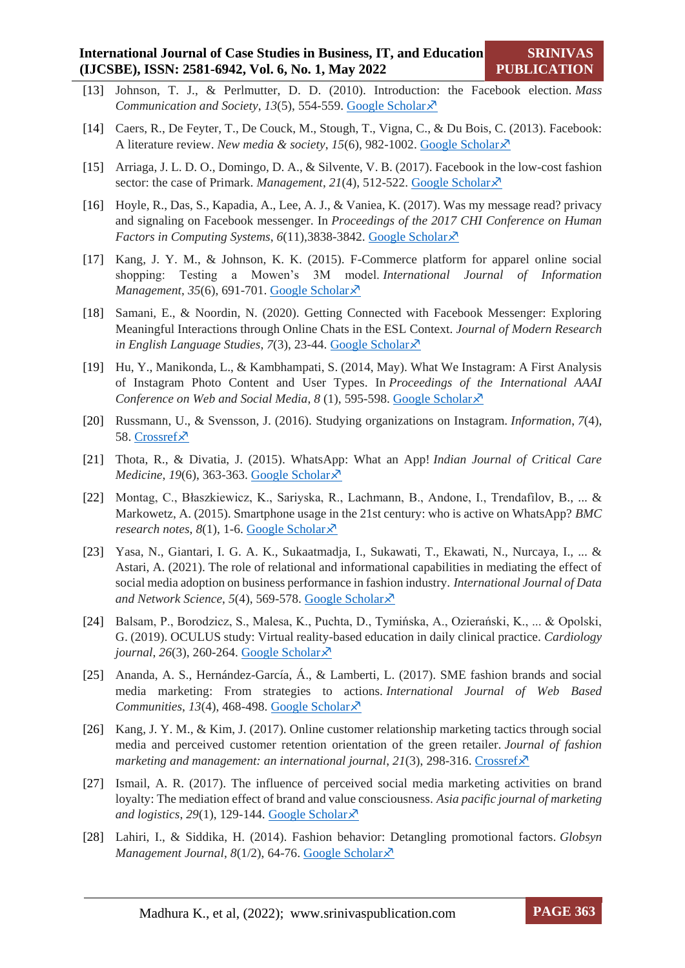- [13] Johnson, T. J., & Perlmutter, D. D. (2010). Introduction: the Facebook election. *Mass Communication and Society, 13(5), 554-559. [Google Scholar](https://www.tandfonline.com/doi/abs/10.1080/15205436.2010.517490)*  $\times$
- [14] Caers, R., De Feyter, T., De Couck, M., Stough, T., Vigna, C., & Du Bois, C. (2013). Facebook: A literature review. *New media & society*, 15(6), 982-1002. [Google Scholar](https://journals.sagepub.com/doi/abs/10.1177/1461444813488061)  $\times$
- [15] Arriaga, J. L. D. O., Domingo, D. A., & Silvente, V. B. (2017). Facebook in the low-cost fashion sector: the case of Primark. *Management*, 21(4), 512-522. [Google Scholar](https://www.emerald.com/insight/content/doi/10.1108/JFMM-08-2016-0069/full/html)  $\lambda$ <sup>7</sup>
- [16] Hoyle, R., Das, S., Kapadia, A., Lee, A. J., & Vaniea, K. (2017). Was my message read? privacy and signaling on Facebook messenger. In *Proceedings of the 2017 CHI Conference on Human Factors in Computing Systems, 6*(11),3838-3842. [Google Scholar](https://dl.acm.org/doi/abs/10.1145/3025453.3025925)  $\lambda$ <sup>7</sup>
- [17] Kang, J. Y. M., & Johnson, K. K. (2015). F-Commerce platform for apparel online social shopping: Testing a Mowen's 3M model. *International Journal of Information Management*, 35(6), 691-701. [Google Scholar](https://www.koreascience.or.kr/article/JAKO201821464987307.page)  $\times$
- [18] Samani, E., & Noordin, N. (2020). Getting Connected with Facebook Messenger: Exploring Meaningful Interactions through Online Chats in the ESL Context. *Journal of Modern Research in English Language Studies, 7(3), 23-44. [Google Scholar](https://journals.ikiu.ac.ir/article_1943.html)*  $\times$
- [19] Hu, Y., Manikonda, L., & Kambhampati, S. (2014, May). What We Instagram: A First Analysis of Instagram Photo Content and User Types. In *Proceedings of the International AAAI Conference on Web and Social Media, 8 (1), 595-598. [Google Scholar](https://scholar.google.com/scholar?hl=en&as_sdt=0%2C5&q=instagram&btnG=)* $\lambda$
- [20] Russmann, U., & Svensson, J. (2016). Studying organizations on Instagram. *Information*, *7*(4), 58. [Crossref](https://doi.org/10.3390/info7040058)x
- [21] Thota, R., & Divatia, J. (2015). WhatsApp: What an App! *Indian Journal of Critical Care Medicine*, *19*(6), 363-363. [Google Scholar](https://go.gale.com/ps/i.do?id=GALE%7CA417460129&sid=googleScholar&v=2.1&it=r&linkaccess=abs&issn=09725229&p=HRCA&sw=w&userGroupName=anon%7Ee8f4e579) ⊼
- [22] Montag, C., Błaszkiewicz, K., Sariyska, R., Lachmann, B., Andone, I., Trendafilov, B., ... & Markowetz, A. (2015). Smartphone usage in the 21st century: who is active on WhatsApp? *BMC research notes*,  $8(1)$ , 1-6. [Google Scholar](https://bmcresnotes.biomedcentral.com/articles/10.1186/s13104-015-1280-z)  $\times$
- [23] Yasa, N., Giantari, I. G. A. K., Sukaatmadja, I., Sukawati, T., Ekawati, N., Nurcaya, I., ... & Astari, A. (2021). The role of relational and informational capabilities in mediating the effect of social media adoption on business performance in fashion industry. *International Journal of Data and Network Science*, *5*(4), 569-578[. Google Scholar](http://m.growingscience.com/beta/ijds/5044-the-role-of-relational-and-informational-capabilities-in-mediating-the-effect-of-social-media-adoption-on-business-performance-in-fashion-industry.html)
- [24] Balsam, P., Borodzicz, S., Malesa, K., Puchta, D., Tymińska, A., Ozierański, K., ... & Opolski, G. (2019). OCULUS study: Virtual reality-based education in daily clinical practice. *Cardiology journal*,  $26(3)$ ,  $260-264$ [. Google Scholar](https://journals.viamedica.pl/cardiology_journal/article/view/56095) $\chi^2$
- [25] Ananda, A. S., Hernández-García, Á., & Lamberti, L. (2017). SME fashion brands and social media marketing: From strategies to actions. *International Journal of Web Based Communities*,  $13(4)$ , 468-498. [Google Scholar](https://www.inderscienceonline.com/doi/abs/10.1504/IJWBC.2017.089350) $\times$
- [26] Kang, J. Y. M., & Kim, J. (2017). Online customer relationship marketing tactics through social media and perceived customer retention orientation of the green retailer. *Journal of fashion marketing and management: an international journal,*  $21(3)$ *,*  $298-316$ *. [Crossref](https://doi.org/10.1108/JFMM-08-2016-0071)* $\lambda$ *<sup>7</sup>*
- [27] Ismail, A. R. (2017). The influence of perceived social media marketing activities on brand loyalty: The mediation effect of brand and value consciousness. *Asia pacific journal of marketing and logistics*, 29(1), 129-144. [Google Scholar](https://www.researchgate.net/profile/Ahmed-Ismail-14/publication/311107512_The_influence_of_perceived_social_media_marketing_activities_on_brand_loyalty_The_mediation_effect_of_brand_and_value_consciousness/links/59d71424458515db19c7f091/The-influence-of-perceived-social-media-marketing-activities-on-brand-loyalty-The-mediation-effect-of-brand-and-value-consciousness.pdf) $\lambda$ <sup>7</sup>
- [28] Lahiri, I., & Siddika, H. (2014). Fashion behavior: Detangling promotional factors. *Globsyn Management Journal*, *8*(1/2), 64-76. [Google Scholar](https://scholar.google.com/scholar?hl=en&as_sdt=0%2C5&q=MARKETING+STRATEGIES+OF+SOCIAL+MEDIAS+in+fashion+industry&btnG=)  $\lambda$ <sup>7</sup>

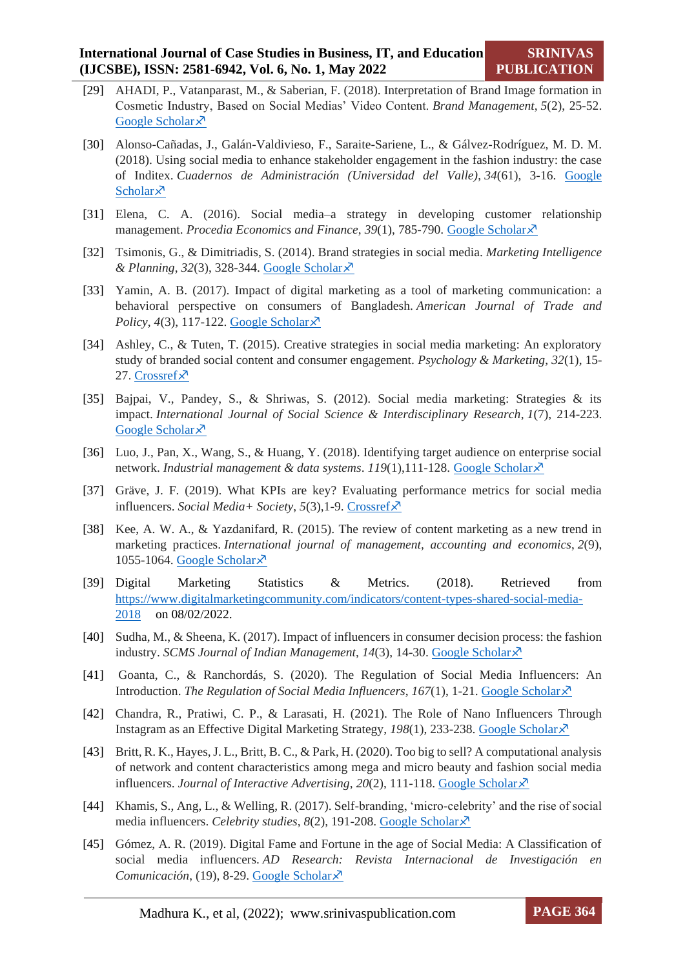- [29] AHADI, P., Vatanparast, M., & Saberian, F. (2018). Interpretation of Brand Image formation in Cosmetic Industry, Based on Social Medias' Video Content. *Brand Management*, *5*(2), 25-52. [Google Scholar](https://bmr.alzahra.ac.ir/article_4452_en.html?lang=en) ×
- [30] Alonso-Cañadas, J., Galán-Valdivieso, F., Saraite-Sariene, L., & Gálvez-Rodríguez, M. D. M. (2018). Using social media to enhance stakeholder engagement in the fashion industry: the case of Inditex. *Cuadernos de Administración (Universidad del Valle)*, *34*(61), 3-16. [Google](http://www.scielo.org.co/scielo.php?pid=S0120-46452018000200003&script=sci_arttext&tlng=en)  [Scholar](http://www.scielo.org.co/scielo.php?pid=S0120-46452018000200003&script=sci_arttext&tlng=en) $\lambda$
- [31] Elena, C. A. (2016). Social media–a strategy in developing customer relationship management. *Procedia Economics and Finance*, *39*(1), 785-790. [Google Scholar](https://www.sciencedirect.com/science/article/pii/S2212567116302660)
- [32] Tsimonis, G., & Dimitriadis, S. (2014). Brand strategies in social media. *Marketing Intelligence & Planning*, *32*(3), 328-344. [Google Scholar](https://www.emerald.com/insight/content/doi/10.1108/mip-04-2013-0056/full/html)
- [33] Yamin, A. B. (2017). Impact of digital marketing as a tool of marketing communication: a behavioral perspective on consumers of Bangladesh. *American Journal of Trade and Policy*,  $4(3)$ , 117-122. [Google Scholar](https://abc.us.org/ojs/index.php/ajtp/article/view/426) $\overline{\mathcal{X}}$
- [34] Ashley, C., & Tuten, T. (2015). Creative strategies in social media marketing: An exploratory study of branded social content and consumer engagement. *Psychology & Marketing*, *32*(1), 15- 27. [Crossref](https://doi.org/10.1002/mar.20761)×
- [35] Bajpai, V., Pandey, S., & Shriwas, S. (2012). Social media marketing: Strategies & its impact. *International Journal of Social Science & Interdisciplinary Research*, *1*(7), 214-223. [Google Scholar](https://scholar.google.com/scholar?hl=en&as_sdt=0%2C5&q=MARKETING+STRATEGIES+OF+SOCIAL+MEDIAS+%3Atarget+audience&btnG=&oq=MARKETING+STRATEGIES+OF+SOCIAL+MEDIAS+%3Aterget+aud) ×
- [36] Luo, J., Pan, X., Wang, S., & Huang, Y. (2018). Identifying target audience on enterprise social network. *Industrial management & data systems*. *119*(1),111-128. [Google Scholar](https://www.emerald.com/insight/content/doi/10.1108/IMDS-01-2018-0007/full/html?fullSc=1)
- [37] Gräve, J. F. (2019). What KPIs are key? Evaluating performance metrics for social media influencers. *Social Media+ Society*, *5*(3),1-9[. Crossref](https://doi.org/10.1177%2F2056305119865475)
- [38] Kee, A. W. A., & Yazdanifard, R. (2015). The review of content marketing as a new trend in marketing practices. *International journal of management, accounting and economics*, *2*(9), 1055-1064. [Google Scholar](https://scholar.google.com/scholar?hl=en&as_sdt=0%2C5&q=MARKETING+STRATEGIES+OF+SOCIAL+MEDIAS+%3Acontent+marketing&btnG=)<sup> $\bar{x}$ </sup>
- [39] Digital Marketing Statistics & Metrics. (2018). Retrieved from [https://www.digitalmarketingcommunity.com/indicators/content-types-shared-social-media-](https://www.digitalmarketingcommunity.com/indicators/content-types-shared-social-media-2018)[2018](https://www.digitalmarketingcommunity.com/indicators/content-types-shared-social-media-2018) on 08/02/2022.
- [40] Sudha, M., & Sheena, K. (2017). Impact of influencers in consumer decision process: the fashion industry. *SCMS Journal of Indian Management*, *14*(3), 14-30. [Google Scholar](https://scholar.google.com/scholar?hl=en&as_sdt=0%2C5&as_ylo=2018&q=40.%09Sudha%2C+M.%2C+%26+Sheena%2C+K.+%282017%29.+Impact+of+influencers+in+consumer+decision+process%3A+the+fashion+industry.+SCMS+Journal+of+Indian+Management%2C+14%283%29%2C+14-30&btnG=)
- [41] Goanta, C., & Ranchordás, S. (2020). The Regulation of Social Media Influencers: An Introduction. *The Regulation of Social Media Influencers*, *167(1)*, 1-21. **Google Scholar**  $\times$
- [42] Chandra, R., Pratiwi, C. P., & Larasati, H. (2021). The Role of Nano Influencers Through Instagram as an Effective Digital Marketing Strategy, *198*(1), 233-238. [Google Scholar](https://scholar.google.com/scholar?hl=en&as_sdt=0%2C5&q=The+Role+of+Nano+Influencers+Through+Instagram+as+an+Effective+Digital+Marketing+Strategy&btnG=)
- [43] Britt, R. K., Hayes, J. L., Britt, B. C., & Park, H. (2020). Too big to sell? A computational analysis of network and content characteristics among mega and micro beauty and fashion social media influencers. *Journal of Interactive Advertising*, 20(2), 111-118. [Google Scholar](https://www.tandfonline.com/doi/full/10.1080/15252019.2020.1763873)  $\times$
- [44] Khamis, S., Ang, L., & Welling, R. (2017). Self-branding, 'micro-celebrity' and the rise of social media influencers. *Celebrity studies*, *8*(2), 191-208. [Google Scholar](https://www.tandfonline.com/doi/abs/10.1080/19392397.2016.1218292)
- [45] Gómez, A. R. (2019). Digital Fame and Fortune in the age of Social Media: A Classification of social media influencers. *AD Research: Revista Internacional de Investigación en Comunicación*, (19), 8-29. [Google Scholar](https://dialnet.unirioja.es/servlet/articulo?codigo=6785540)